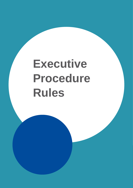# **Executive Procedure Rules**

And additional copy if necessary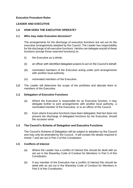# **Executive Procedure Rules**

# **LEADER AND EXECUTIVE**

# **1.0 HOW DOES THE EXECUTIVE OPERATE?**

# **1.1 Who may make Executive decisions?**

The arrangements for the discharge of executive functions are set out tin the executive arrangements adopted by the Council. The Leader has responsibility for the discharge of all executive functions. He/she can delegate any/all of these functions (except those reserved functions) to:

- (i) the Executive as a whole;
- (ii) an officer with identified delegated powers to act on the Council's behalf;
- (iii) nominated members of the Executive acting under joint arrangements with another local authority.
- (iv) nominated members of the Executive.
- **1.2** The Leader will determine the scope of the portfolios and allocate them to members of the Executive.

#### **1.3 Delegation of Executive Functions**

- (a) Where the Executive is responsible for an Executive function, it may delegate further to joint arrangements with another local authority, a nominated member of the Executive, or to an officer of the Council.
- (b) Even where Executive functions have been delegated, that fact does not prevent the discharge of delegated functions by the Executive, should the occasion arise.

# **1.4 The Council's Scheme of Delegation and Executive Functions**

The Council's Scheme of Delegation will be subject to adoption by the Council and may only be amended by the Council. It will contain the details required in Article 7 and set out in Part 3 of this Constitution.

# **1.5 Conflicts of Interest**

- (a) Where the Leader has a conflict of interest this should be dealt with as set out in the Waverley Code of Conduct for Members in Part 5 of this **Constitution**
- (b) If any member of the Executive has a conflict of interest this should be dealt with as set out in the Waverley Code of Conduct for Members in Part 5 of this Constitution.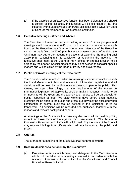(c) If the exercise of an Executive function has been delegated and should a conflict of interest arise, the function will be exercised in the first instance by the Executive and otherwise as set out in the Waverley Code of Conduct for Members in Part 5 of this Constitution.

# **1.6 Executive Meetings – When and Where?**

The Executive will meet for decision making at least 10 times per year and meetings shall commence at 6.45 p.m., or in special circumstances at such hours as the Executive may fix from time to time. Meetings of the Executive should normally finish by 10.00 p.m. but at a convenient time before then, the Chairman may put to the meeting the options of extending the meeting until 10.30 p.m., continuing until its conclusion or adjourning the meeting. The Executive shall meet at the Council's main offices or another location to be agreed by the Leader. Special meetings may be convened to consider specific matters and will be called by the Head of Policy and Governance.

# **1.7 Public or Private meetings of the Executive?**

The Executive will conduct all its decision-making business in compliance with the Local Government Acts and Access to Information legislation and all decisions will be taken by the Executive at meetings open to the public. This means, amongst other things, that the requirements of the Access to Information legislation will apply to its decision-making meetings. Public notice of meetings will be given and the agenda and reports will be on deposit for public inspection at least five clear working days before each meeting. Meetings will be open to the public and press, but they may be excluded when confidential or exempt business, as defined in the legislation, is to be transacted. All decisions will be recorded and published, together with the reasons and relevant background papers.

All meetings of the Executive that take any decisions will be held in public, except for those parts of the agenda which are exempt. The Access to Information Rules set out in Part 4 will be followed. Any members of the Council may receive briefings from officers which will not be open to the public and press.

# **1.8 Quorum**

The quorum for a meeting of the Executive shall be three members.

# **1.9 How are decisions to be taken by the Executive?**

(a) Executive decisions which have been delegated to the Executive as a whole will be taken at a meeting convened in accordance with the Access to Information Rules in Part 4 of the Constitution and Council Procedure Rules in Part 4.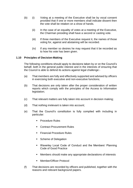- (b) (i) Voting at a meeting of the Executive shall be by vocal consent provided that if one or more members shall indicate dissent then the vote shall be retaken on a show of hands.
	- (ii) In the case of an equality of votes at a meeting of the Executive, the Chairman presiding shall have a second or casting vote.
	- (iii) If three members of the Executive request it, the names of those voting for, against and abstaining will be recorded.
	- (iv) If any member so desires he may request that it be recorded as to how his vote has been given.

# **1.10 Principles of Decision-Making**

The following conditions should apply to decisions taken by or on the Council's behalf, both in the general public interest and in the interests of ensuring that the Council is able to defend its actions against legal challenge:-

- (a) That members are fully and effectively supported and advised by officers in exercising both executive and non-executive functions;
- (b) That decisions are only taken after the proper consideration of written reports which comply with the principles of the Access to Information legislation;
- (c) That relevant matters are fully taken into account in decision making;
- (d) That nothing irrelevant is taken into account;
- (e) That the Council's constitution is fully complied with including in particular:
	- **Procedure Rules**
	- **Contract Procurement Rules**
	- **Financial Procedure Rules**
	- Scheme of Delegation
	- Waverley Local Code of Conduct and the Members' Planning Code of Good Practice
	- Members should make any appropriate declarations of interests
	- **Member/Officer Protocol**
- (f) That decisions are recorded by officers and published, together with the reasons and relevant background papers.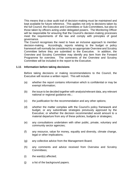This means that a clear audit trail of decision-making must be maintained and kept available for future reference. This applies not only to decisions taken by the full Council, the Executive and Committees or Sub-Committees, but also to those taken by officers acting under delegated powers. The Monitoring Officer will be responsible for ensuring that the Council's decision-making processes meet the requirements of the law and comply with principles of good governance.

The Council recognises the need to have an inclusive approach to member decision-making. Accordingly, reports relating to the budget or policy framework will normally be considered by an appropriate Overview and Scrutiny Committee before they are submitted to the Executive. In addition, the Overview and Scrutiny Committee may identify any item from the Forward Programme for overview. The comments of the Overview and Scrutiny Committee will be included in the report to the Executive.

#### **1.11 Information before taking decisions**

Before taking decisions or making recommendations to the Council, the Executive will receive a written report. This will include:

- (a) whether the report contains information which is confidential or may be exempt information;
- (b) the issue to be decided together with analysis/relevant data, any relevant national or regional guidance etc.;
- (c) the justification for the recommendation and any other options;
- (d) whether the matter complies with the Council's policy framework and budget, or any subordinate strategies previously approved by the Executive; or whether the decision recommended would amount to a material departure from any of these policies, budgets or strategies;
- (e) any consultations undertaken with other public, private, voluntary and community sector agencies;
- (f) any resource, value for money, equality and diversity, climate change, legal or other implications;
- (g) any collective advice from the Management Board;
- (h) any comments and advice received from Overview and Scrutiny Committees;
- (i) the ward(s) affected;
- (j) a list of the background papers.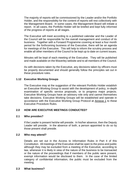The majority of reports will be commissioned by the Leader and/or the Portfolio Holder, and the responsibility for the content of reports will rest collectively with the Management Board. In some cases, the Management Board will initiate a report. In all cases, the Portfolio Holder will be briefed and kept fully informed of the progress of reports at all stages.

The Executive will meet according to a published calendar and the Leader of the Council will be responsible for the overall management and conduct of its business. Together with a Forward Programme covering at least a four month period for the forthcoming business of the Executive, there will be an agenda for meetings of the Executive. This will help to inform the scrutiny process and enable all other members of the Council to be kept up to date on current issues.

Minutes will be kept of each meeting of the Executive. They will be published and made available on the Waverley website and to all members of the Council.

As with decisions taken by the Executive, any decisions taken by officers must be properly documented and should generally follow the principles set out in these procedure rules.

# **1.12 Executive Working Groups**

The Executive may at the suggestion of the relevant Portfolio Holder establish an Executive Working Group to assist with the development of policy, in-depth examination of specific service proposals, or to progress major projects. Executive Working Groups have an advisory role only and cannot themselves take decisions. Executive Working Groups will be established and operate in accordance with the Executive Working Group Protocol at Annexe 1 to these Executive Procedure Rules.

# **2.0 HOW ARE EXECUTIVE MEETINGS CONDUCTED?**

# **2.1 Who presides?**

If the Leader is present he/she will preside. In his/her absence, then the Deputy Leader will preside. In the absence of both, a person appointed to do so by those present shall preside.

# **2.2 Who may attend?**

Details are set out in the Access to Information Rules in Part 4 of this Constitution. All meetings of the Executive shall be open to the press and public although they may be excluded from a meeting of the Executive, according to law, whenever it is likely in view of the nature of the business to be transacted or the nature of the proceedings that if members of the public were present, exempt information would be disclosed to them. In the case of the limited category of confidential information, the public must be excluded from the meeting.

#### **2.3 What business?**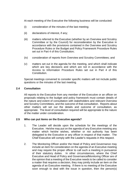At each meeting of the Executive the following business will be conducted:

- (i) consideration of the minutes of the last meeting;
- (ii) declarations of interest, if any;
- (iii) matters referred to the Executive (whether by an Overview and Scrutiny Committee or by the Council) for reconsideration by the Executive in accordance with the provisions contained in the Overview and Scrutiny Procedure Rules or the Budget and Policy Framework Procedure Rules set out in Part 4 of this Constitution;
- (iv) consideration of reports from Overview and Scrutiny Committees; and
- (v) matters set out in the agenda for the meeting, and which shall indicate which are key decisions and which are not in accordance with the Access to Information Procedure Rules set out in Part 4 of this **Constitution**

Special meetings convened to consider specific matters will not include public questions or the minutes of the last meeting.

# **2.4 Consultation**

All reports to the Executive from any member of the Executive or an officer on proposals relating to the budget and policy framework must contain details of the nature and extent of consultation with stakeholders and relevant Overview and Scrutiny Committees, and the outcome of that consultation. Reports about other matters will set out the details and outcome of consultation, as appropriate. The level of consultation required will be appropriate to the nature of the matter under consideration.

# **2.5 Who can put items on the Executive agenda?**

- 1. The Leader will decide upon the schedule for the meetings of the Executive. He/she may put on the agenda of any Executive meeting any matter which he/she wishes, whether or not authority has been delegated to the Executive or any officer in respect of that matter. The Chief Executive will comply with the Leader's requests in this respect.
- 2. The Monitoring Officer and/or the Head of Policy and Governance may include an item for consideration on the agenda of an Executive meeting and may require the proper officer to call such a meeting in pursuance of their statutory duties. In other circumstances, where the Chief Executive and Head of Policy and Governance**/**Monitoring Officer are of the opinion that a meeting of the Executive needs to be called to consider a matter that requires a decision, they may jointly include an item on the agenda of an Executive meeting. If there is no meeting of the Executive soon enough to deal with the issue in question, then the person(s)